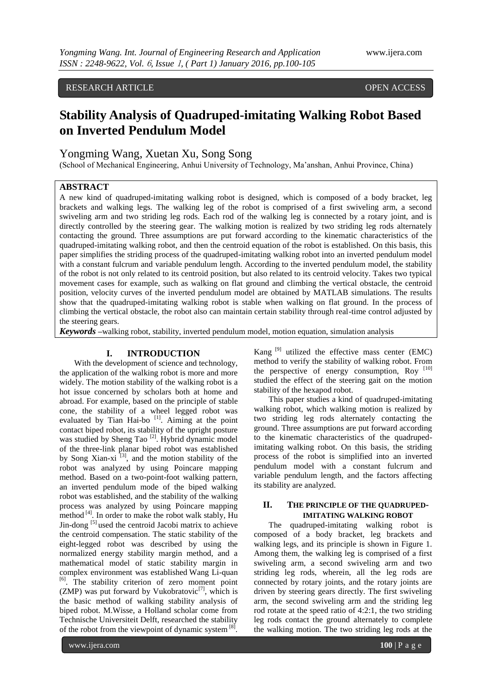# RESEARCH ARTICLE OPEN ACCESS

# **Stability Analysis of Quadruped-imitating Walking Robot Based on Inverted Pendulum Model**

# Yongming Wang, Xuetan Xu, Song Song

(School of Mechanical Engineering, Anhui University of Technology, Ma'anshan, Anhui Province, China)

# **ABSTRACT**

A new kind of quadruped-imitating walking robot is designed, which is composed of a body bracket, leg brackets and walking legs. The walking leg of the robot is comprised of a first swiveling arm, a second swiveling arm and two striding leg rods. Each rod of the walking leg is connected by a rotary joint, and is directly controlled by the steering gear. The walking motion is realized by two striding leg rods alternately contacting the ground. Three assumptions are put forward according to the kinematic characteristics of the quadruped-imitating walking robot, and then the centroid equation of the robot is established. On this basis, this paper simplifies the striding process of the quadruped-imitating walking robot into an inverted pendulum model with a constant fulcrum and variable pendulum length. According to the inverted pendulum model, the stability of the robot is not only related to its centroid position, but also related to its centroid velocity. Takes two typical movement cases for example, such as walking on flat ground and climbing the vertical obstacle, the centroid position, velocity curves of the inverted pendulum model are obtained by MATLAB simulations. The results show that the quadruped-imitating walking robot is stable when walking on flat ground. In the process of climbing the vertical obstacle, the robot also can maintain certain stability through real-time control adjusted by the steering gears.

*Keywords* **–**walking robot, stability, inverted pendulum model, motion equation, simulation analysis

#### **I. INTRODUCTION**

With the development of science and technology, the application of the walking robot is more and more widely. The motion stability of the walking robot is a hot issue concerned by scholars both at home and abroad. For example, based on the principle of stable cone, the stability of a wheel legged robot was evaluated by Tian Hai-bo [1]. Aiming at the point contact biped robot, its stability of the upright posture was studied by Sheng Tao<sup>[2]</sup>. Hybrid dynamic model of the three-link planar biped robot was established by Song Xian-xi<sup>[3]</sup>, and the motion stability of the robot was analyzed by using Poincare mapping method. Based on a two-point-foot walking pattern, an inverted pendulum mode of the biped walking robot was established, and the stability of the walking process was analyzed by using Poincare mapping method [4]. In order to make the robot walk stably, Hu Jin-dong  $[5]$  used the centroid Jacobi matrix to achieve the centroid compensation. The static stability of the eight-legged robot was described by using the normalized energy stability margin method, and a mathematical model of static stability margin in complex environment was established Wang Li-quan [6]. The stability criterion of zero moment point (ZMP) was put forward by Vukobratovic<sup>[7]</sup>, which is the basic method of walking stability analysis of biped robot. M.Wisse, a Holland scholar come from Technische Universiteit Delft, researched the stability of the robot from the viewpoint of dynamic system  $[8]$ . Kang  $[9]$  utilized the effective mass center (EMC) method to verify the stability of walking robot. From the perspective of energy consumption, Roy [10] studied the effect of the steering gait on the motion stability of the hexapod robot.

This paper studies a kind of quadruped-imitating walking robot, which walking motion is realized by two striding leg rods alternately contacting the ground. Three assumptions are put forward according to the kinematic characteristics of the quadrupedimitating walking robot. On this basis, the striding process of the robot is simplified into an inverted pendulum model with a constant fulcrum and variable pendulum length, and the factors affecting its stability are analyzed.

# **II. THE PRINCIPLE OF THE QUADRUPED-IMITATING WALKING ROBOT**

The quadruped-imitating walking robot is composed of a body bracket, leg brackets and walking legs, and its principle is shown in Figure 1. Among them, the walking leg is comprised of a first swiveling arm, a second swiveling arm and two striding leg rods, wherein, all the leg rods are connected by rotary joints, and the rotary joints are driven by steering gears directly. The first swiveling arm, the second swiveling arm and the striding leg rod rotate at the speed ratio of 4:2:1, the two striding leg rods contact the ground alternately to complete the walking motion. The two striding leg rods at the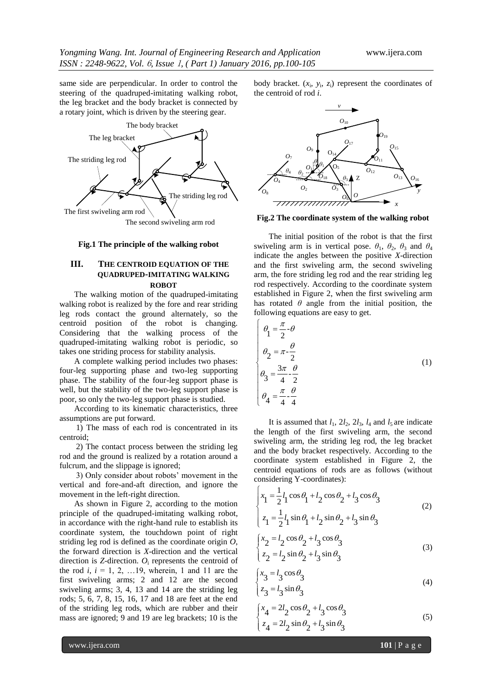same side are perpendicular. In order to control the steering of the quadruped-imitating walking robot, the leg bracket and the body bracket is connected by a rotary joint, which is driven by the steering gear.



**Fig.1 The principle of the walking robot**

## **III. THE CENTROID EQUATION OF THE QUADRUPED-IMITATING WALKING ROBOT**

The walking motion of the quadruped-imitating walking robot is realized by the fore and rear striding leg rods contact the ground alternately, so the centroid position of the robot is changing. Considering that the walking process of the quadruped-imitating walking robot is periodic, so takes one striding process for stability analysis.

A complete walking period includes two phases: four-leg supporting phase and two-leg supporting phase. The stability of the four-leg support phase is well, but the stability of the two-leg support phase is poor, so only the two-leg support phase is studied.

According to its kinematic characteristics, three assumptions are put forward.

1) The mass of each rod is concentrated in its centroid;

2) The contact process between the striding leg rod and the ground is realized by a rotation around a fulcrum, and the slippage is ignored;

3) Only consider about robots' movement in the vertical and fore-and-aft direction, and ignore the movement in the left-right direction.

As shown in Figure 2, according to the motion principle of the quadruped-imitating walking robot, in accordance with the right-hand rule to establish its coordinate system, the touchdown point of right striding leg rod is defined as the coordinate origin *O*, the forward direction is *X*-direction and the vertical direction is *Z*-direction. *O*<sup>i</sup> represents the centroid of the rod *i*,  $i = 1, 2, ... 19$ , wherein, 1 and 11 are the first swiveling arms; 2 and 12 are the second swiveling arms; 3, 4, 13 and 14 are the striding leg rods; 5, 6, 7, 8, 15, 16, 17 and 18 are feet at the end of the striding leg rods, which are rubber and their mass are ignored; 9 and 19 are leg brackets; 10 is the

body bracket.  $(x_i, y_i, z_i)$  represent the coordinates of the centroid of rod *i*.



**Fig.2 The coordinate system of the walking robot**

The initial position of the robot is that the first swiveling arm is in vertical pose.  $\theta_1$ ,  $\theta_2$ ,  $\theta_3$  and  $\theta_4$ indicate the angles between the positive *X*-direction and the first swiveling arm, the second swiveling arm, the fore striding leg rod and the rear striding leg rod respectively. According to the coordinate system established in Figure 2, when the first swiveling arm has rotated  $\theta$  angle from the initial position, the following equations are easy to get.

$$
\theta_1 = \frac{\pi}{2} \cdot \theta
$$
\n
$$
\theta_2 = \pi \cdot \frac{\theta}{2}
$$
\n
$$
\theta_3 = \frac{3\pi}{4} \cdot \frac{\theta}{2}
$$
\n
$$
\theta_4 = \frac{\pi}{4} \cdot \frac{\theta}{4}
$$
\n(1)

It is assumed that  $l_1$ ,  $2l_2$ ,  $2l_3$ ,  $l_4$  and  $l_5$  are indicate the length of the first swiveling arm, the second swiveling arm, the striding leg rod, the leg bracket and the body bracket respectively. According to the coordinate system established in Figure 2, the centroid equations of rods are as follows (without considering Y-coordinates):

$$
\begin{cases}\n x_1 = \frac{1}{2} l_1 \cos \theta_1 + l_2 \cos \theta_2 + l_3 \cos \theta_3 \\
 z_1 = \frac{1}{2} l_1 \sin \theta_1 + l_2 \sin \theta_2 + l_3 \sin \theta_3\n\end{cases}
$$
\n(2)

$$
\begin{cases}\nx_2 = l_2 \cos \theta_2 + l_3 \cos \theta_3 \\
z_2 = l_2 \sin \theta_2 + l_3 \sin \theta_3\n\end{cases}
$$
\n(3)

$$
\begin{cases} x_3 = l_3 \cos \theta_3 \\ z_3 = l_3 \sin \theta_3 \end{cases}
$$
 (4)

$$
\begin{cases} x_4 = 2l_2 \cos \theta_2 + l_3 \cos \theta_3 \\ z_4 = 2l_2 \sin \theta_2 + l_3 \sin \theta_3 \end{cases}
$$
 (5)

www.ijera.com **101** | P a g e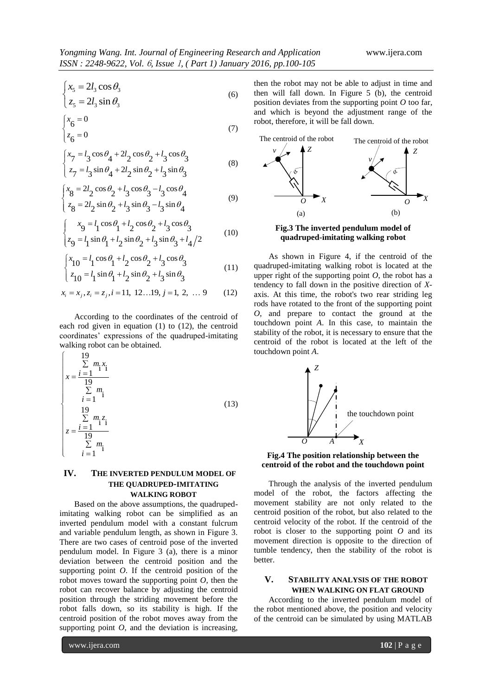$$
\int x_5 = 2l_3 \cos \theta_3 \tag{6}
$$

$$
\begin{cases}\n z_5 = 2l_3 \sin \theta_3\n\end{cases}
$$
\n(6)

$$
\begin{cases} x_6 = 0\\ z_6 = 0 \end{cases} \tag{7}
$$

$$
\begin{cases}\n x_7 = l_3 \cos \theta_4 + 2l_2 \cos \theta_2 + l_3 \cos \theta_3 \\
 z_7 = l_3 \sin \theta_4 + 2l_2 \sin \theta_2 + l_3 \sin \theta_3\n\end{cases}
$$
\n(8)

$$
\begin{cases}\n x_8 = 2l_2 \cos \theta_2 + l_3 \cos \theta_3 - l_3 \cos \theta_4 \\
 z_8 = 2l_2 \sin \theta_2 + l_3 \sin \theta_3 - l_3 \sin \theta_4\n\end{cases}
$$
\n(9)

$$
\begin{cases}\n x_9 = l_1 \cos \theta_1 + l_2 \cos \theta_2 + l_3 \cos \theta_3 \\
 z_9 = l_1 \sin \theta_1 + l_2 \sin \theta_2 + l_3 \sin \theta_3 + l_4/2\n\end{cases}
$$
\n(10)

$$
\begin{cases}\n x_{10} = l_1 \cos \theta_1 + l_2 \cos \theta_2 + l_3 \cos \theta_3 \\
 z_{10} = l_1 \sin \theta_1 + l_2 \sin \theta_2 + l_3 \sin \theta_3\n\end{cases}
$$
\n(11)

$$
(10 \t 1 \t 1 \t 2 \t 2 \t 3 \t 3
$$
  

$$
x_i = x_j, z_i = z_j, i = 11, 12...19, j = 1, 2, ...9
$$
 (12)

According to the coordinates of the centroid of each rod given in equation (1) to (12), the centroid coordinates' expressions of the quadruped-imitating walking robot can be obtained.

$$
\begin{cases}\n19 \\
\sum m_{1} x_{1} = \frac{i}{1} = 1 \quad \frac{19}{11} \\
\sum m_{1} x_{2} = \frac{i}{1} = 1 \quad \frac{19}{11} \\
z = \frac{i}{1} = 1 \quad \frac{11}{11} \\
\sum m_{1} x_{1} = 1 \quad \frac{1}{11}\n\end{cases}
$$
\n(13)

# **IV. THE INVERTED PENDULUM MODEL OF THE QUADRUPED-IMITATING WALKING ROBOT**

Based on the above assumptions, the quadrupedimitating walking robot can be simplified as an inverted pendulum model with a constant fulcrum and variable pendulum length, as shown in Figure 3. There are two cases of centroid pose of the inverted pendulum model. In Figure 3 (a), there is a minor deviation between the centroid position and the supporting point *O*. If the centroid position of the robot moves toward the supporting point *O*, then the robot can recover balance by adjusting the centroid position through the striding movement before the robot falls down, so its stability is high. If the centroid position of the robot moves away from the supporting point  $O$ , and the deviation is increasing,

then the robot may not be able to adjust in time and then will fall down. In Figure 5 (b), the centroid position deviates from the supporting point *O* too far, and which is beyond the adjustment range of the robot, therefore, it will be fall down.





As shown in Figure 4, if the centroid of the quadruped-imitating walking robot is located at the upper right of the supporting point  $O$ , the robot has a tendency to fall down in the positive direction of *X*axis. At this time, the robot's two rear striding leg rods have rotated to the front of the supporting point *O*, and prepare to contact the ground at the touchdown point *A*. In this case, to maintain the stability of the robot, it is necessary to ensure that the centroid of the robot is located at the left of the touchdown point *A*.





Through the analysis of the inverted pendulum model of the robot, the factors affecting the movement stability are not only related to the centroid position of the robot, but also related to the centroid velocity of the robot. If the centroid of the robot is closer to the supporting point *O* and its movement direction is opposite to the direction of tumble tendency, then the stability of the robot is better.

## **V. STABILITY ANALYSIS OF THE ROBOT WHEN WALKING ON FLAT GROUND**

According to the inverted pendulum model of the robot mentioned above, the position and velocity of the centroid can be simulated by using MATLAB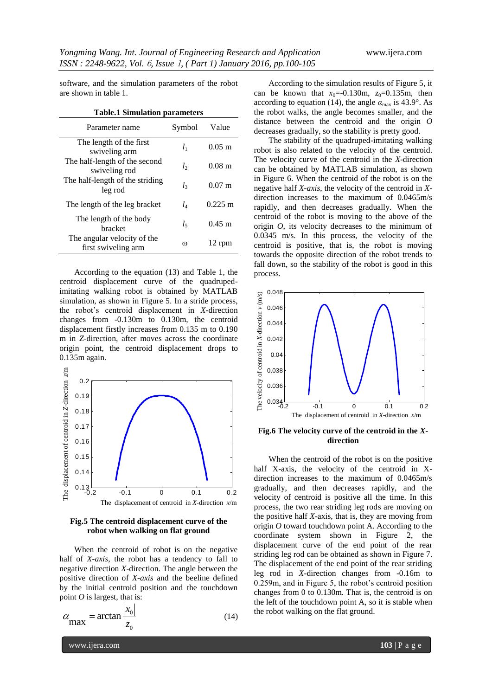software, and the simulation parameters of the robot are shown in table 1.

|  |  | <b>Table.1 Simulation parameters</b> |
|--|--|--------------------------------------|
|--|--|--------------------------------------|

| Parameter name                                     | Symbol   | Value                |
|----------------------------------------------------|----------|----------------------|
| The length of the first<br>swiveling arm           | $l_1$    | $0.05 \; \mathrm{m}$ |
| The half-length of the second<br>swiveling rod     | $l_{2}$  | $0.08 \; \mathrm{m}$ |
| The half-length of the striding<br>leg rod         | l3       | $0.07 \;{\rm m}$     |
| The length of the leg bracket                      | $l_4$    | $0.225 \text{ m}$    |
| The length of the body<br>bracket                  | $l_{5}$  | $0.45 \; \mathrm{m}$ |
| The angular velocity of the<br>first swiveling arm | $\omega$ | 12 rpm               |

According to the equation (13) and Table 1, the centroid displacement curve of the quadrupedimitating walking robot is obtained by MATLAB simulation, as shown in Figure 5. In a stride process, the robot's centroid displacement in *X*-direction changes from -0.130m to 0.130m, the centroid displacement firstly increases from 0.135 m to 0.190 m in *Z*-direction, after moves across the coordinate origin point, the centroid displacement drops to 0.135m again.



**Fig.5 The centroid displacement curve of the robot when walking on flat ground**

When the centroid of robot is on the negative half of *X-axis*, the robot has a tendency to fall to negative direction *X*-direction. The angle between the positive direction of *X-axis* and the beeline defined by the initial centroid position and the touchdown point *O* is largest, that is:

$$
\alpha_{\text{max}} = \arctan \frac{|x_0|}{z_0} \tag{14}
$$

According to the simulation results of Figure 5, it can be known that  $x_0 = -0.130$ m,  $z_0 = 0.135$ m, then according to equation (14), the angle  $\alpha_{\text{max}}$  is 43.9°. As the robot walks, the angle becomes smaller, and the distance between the centroid and the origin *O* decreases gradually, so the stability is pretty good.

The stability of the quadruped-imitating walking robot is also related to the velocity of the centroid. The velocity curve of the centroid in the *X*-direction can be obtained by MATLAB simulation, as shown in Figure 6. When the centroid of the robot is on the negative half *X-axis*, the velocity of the centroid in *X*direction increases to the maximum of 0.0465m/s rapidly, and then decreases gradually. When the centroid of the robot is moving to the above of the origin *O*, its velocity decreases to the minimum of 0.0345 m/s. In this process, the velocity of the centroid is positive, that is, the robot is moving towards the opposite direction of the robot trends to fall down, so the stability of the robot is good in this process.



**Fig.6 The velocity curve of the centroid in the** *X***direction**

When the centroid of the robot is on the positive half X-axis, the velocity of the centroid in Xdirection increases to the maximum of 0.0465m/s gradually, and then decreases rapidly, and the velocity of centroid is positive all the time. In this process, the two rear striding leg rods are moving on the positive half *X*-axis, that is, they are moving from origin *O* toward touchdown point A. According to the coordinate system shown in Figure 2, the displacement curve of the end point of the rear striding leg rod can be obtained as shown in Figure 7. The displacement of the end point of the rear striding leg rod in *X*-direction changes from -0.16m to 0.259m, and in Figure 5, the robot's centroid position changes from 0 to 0.130m. That is, the centroid is on the left of the touchdown point A, so it is stable when the robot walking on the flat ground.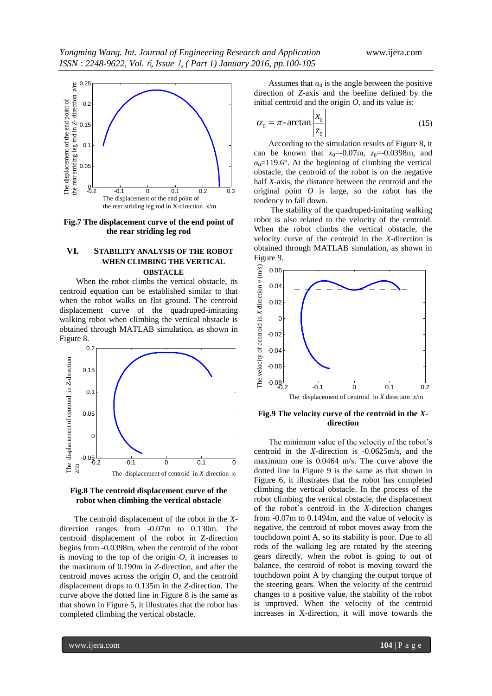

**Fig.7 The displacement curve of the end point of the rear striding leg rod**

#### **VI. STABILITY ANALYSIS OF THE ROBOT WHEN CLIMBING THE VERTICAL OBSTACLE**

When the robot climbs the vertical obstacle, its centroid equation can be established similar to that when the robot walks on flat ground. The centroid displacement curve of the quadruped-imitating walking robot when climbing the vertical obstacle is obtained through MATLAB simulation, as shown in Figure 8.



#### **Fig.8 The centroid displacement curve of the robot when climbing the vertical obstacle**

The centroid displacement of the robot in the *X*direction ranges from -0.07m to 0.130m. The centroid displacement of the robot in Z-direction begins from -0.0398m, when the centroid of the robot is moving to the top of the origin  $O$ , it increases to the maximum of 0.190m in *Z*-direction, and after the centroid moves across the origin *O*, and the centroid displacement drops to 0.135m in the *Z*-direction. The curve above the dotted line in Figure 8 is the same as that shown in Figure 5, it illustrates that the robot has completed climbing the vertical obstacle.

Assumes that  $\alpha_0$  is the angle between the positive direction of *Z*-axis and the beeline defined by the initial centroid and the origin *O*, and its value is:

$$
\alpha_0 = \pi \text{-} \arctan \left| \frac{x_0}{z_0} \right| \tag{15}
$$

According to the simulation results of Figure 8, it can be known that  $x_0 = -0.07$ m,  $z_0 = -0.0398$ m, and  $\alpha_0$ =119.6°. At the beginning of climbing the vertical obstacle, the centroid of the robot is on the negative half *X*-axis, the distance between the centroid and the original point *O* is large, so the robot has the tendency to fall down.

The stability of the quadruped-imitating walking robot is also related to the velocity of the centroid. When the robot climbs the vertical obstacle, the velocity curve of the centroid in the *X*-direction is obtained through MATLAB simulation, as shown in Figure 9.



#### **Fig.9 The velocity curve of the centroid in the** *X***direction**

The minimum value of the velocity of the robot's centroid in the *X*-direction is -0.0625m/s, and the maximum one is 0.0464 m/s. The curve above the dotted line in Figure 9 is the same as that shown in Figure 6, it illustrates that the robot has completed climbing the vertical obstacle. In the process of the robot climbing the vertical obstacle, the displacement of the robot's centroid in the *X*-direction changes from -0.07m to 0.1494m, and the value of velocity is negative, the centroid of robot moves away from the touchdown point A, so its stability is poor. Due to all rods of the walking leg are rotated by the steering gears directly, when the robot is going to out of balance, the centroid of robot is moving toward the touchdown point A by changing the output torque of the steering gears. When the velocity of the centroid changes to a positive value, the stability of the robot is improved. When the velocity of the centroid increases in X-direction, it will move towards the